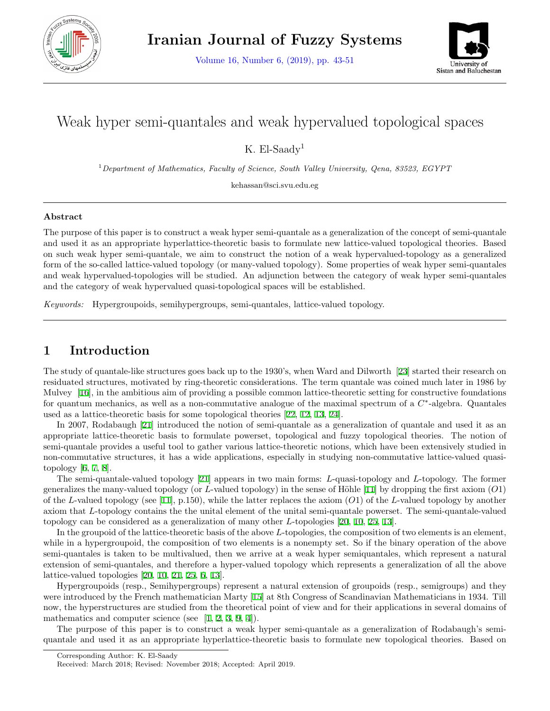

Volume 16, Number 6, (2019), pp. 43-51



# Weak hyper semi-quantales and weak hypervalued topological spaces

K. El-Saad $v<sup>1</sup>$ 

<sup>1</sup>*Department of Mathematics, Faculty of Science, South Valley University, Qena, 83523, EGYPT*

kehassan@sci.svu.edu.eg

#### **Abstract**

The purpose of this paper is to construct a weak hyper semi-quantale as a generalization of the concept of semi-quantale and used it as an appropriate hyperlattice-theoretic basis to formulate new lattice-valued topological theories. Based on such weak hyper semi-quantale, we aim to construct the notion of a weak hypervalued-topology as a generalized form of the so-called lattice-valued topology (or many-valued topology). Some properties of weak hyper semi-quantales and weak hypervalued-topologies will be studied. An adjunction between the category of weak hyper semi-quantales and the category of weak hypervalued quasi-topological spaces will be established.

*Keywords:* Hypergroupoids, semihypergroups, semi-quantales, lattice-valued topology.

## **1 Introduction**

The study of quantale-like structures goes back up to the 1930's, when Ward and Dilworth [[23\]](#page-8-0) started their research on residuated structures, motivated by ring-theoretic considerations. The term quantale was coined much later in 1986 by Mulvey [[16\]](#page-8-1), in the ambitious aim of providing a possible common lattice-theoretic setting for constructive foundations for quantum mechanics, as well as a non-commutative analogue of the maximal spectrum of a  $C^*$ -algebra. Quantales used as a lattice-theoretic basis for some topological theories [[22,](#page-8-2) [12,](#page-8-3) [13,](#page-8-4) [24\]](#page-8-5).

In 2007, Rodabaugh [[21\]](#page-8-6) introduced the notion of semi-quantale as a generalization of quantale and used it as an appropriate lattice-theoretic basis to formulate powerset, topological and fuzzy topological theories. The notion of semi-quantale provides a useful tool to gather various lattice-theoretic notions, which have been extensively studied in non-commutative structures, it has a wide applications, especially in studying non-commutative lattice-valued quasitopology [[6,](#page-7-0) [7,](#page-7-1) [8](#page-7-2)].

The semi-quantale-valued topology [\[21](#page-8-6)] appears in two main forms: *L*-quasi-topology and *L*-topology. The former generalizes the many-valued topology (or *L*-valued topology) in the sense of Höhle [\[11](#page-8-7)] by dropping the first axiom  $(01)$ of the *L*-valued topology (see [[11\]](#page-8-7), p.150), while the latter replaces the axiom (*O*1) of the *L*-valued topology by another axiom that *L*-topology contains the the unital element of the unital semi-quantale powerset. The semi-quantale-valued topology can be considered as a generalization of many other *L*-topologies [\[20](#page-8-8), [10](#page-8-9), [25](#page-8-10), [13](#page-8-4)].

In the groupoid of the lattice-theoretic basis of the above *L*-topologies, the composition of two elements is an element, while in a hypergroupoid, the composition of two elements is a nonempty set. So if the binary operation of the above semi-quantales is taken to be multivalued, then we arrive at a weak hyper semiquantales, which represent a natural extension of semi-quantales, and therefore a hyper-valued topology which represents a generalization of all the above lattice-valued topologies [\[20](#page-8-8), [10,](#page-8-9) [21,](#page-8-6) [25,](#page-8-10) [6,](#page-7-0) [13\]](#page-8-4).

Hypergroupoids (resp., Semihypergroups) represent a natural extension of groupoids (resp., semigroups) and they were introduced by the French mathematician Marty [\[15](#page-8-11)] at 8th Congress of Scandinavian Mathematicians in 1934. Till now, the hyperstructures are studied from the theoretical point of view and for their applications in several domains of mathematics and computer science (see [[1,](#page-7-3) [2,](#page-7-4) [3](#page-7-5), [9](#page-8-12), [4](#page-7-6)]).

The purpose of this paper is to construct a weak hyper semi-quantale as a generalization of Rodabaugh's semiquantale and used it as an appropriate hyperlattice-theoretic basis to formulate new topological theories. Based on

Corresponding Author: K. El-Saady

Received: March 2018; Revised: November 2018; Accepted: April 2019.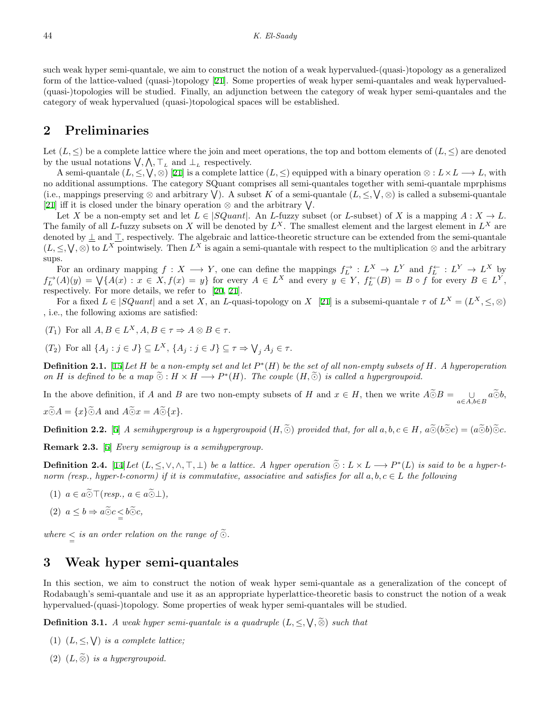such weak hyper semi-quantale, we aim to construct the notion of a weak hypervalued-(quasi-)topology as a generalized form of the lattice-valued (quasi-)topology [[21](#page-8-6)]. Some properties of weak hyper semi-quantales and weak hypervalued- (quasi-)topologies will be studied. Finally, an adjunction between the category of weak hyper semi-quantales and the category of weak hypervalued (quasi-)topological spaces will be established.

# **2 Preliminaries**

Let  $(L, \leq)$  be a complete lattice where the join and meet operations, the top and bottom elements of  $(L, \leq)$  are denoted by the usual notations  $\bigvee$ ,  $\bigwedge$ ,  $\top$ <sub>*L*</sub> and  $\bot$ <sub>*L*</sub> respectively.

A semi-quantale  $(L, \leq, \vee, \otimes)$  [[21\]](#page-8-6) is a complete lattice  $(L, \leq)$  equipped with a binary operation  $\otimes : L \times L \longrightarrow L$ , with no additional assumptions. The category SQuant comprises all semi-quantales together with semi-quantale mprphisms (i.e., mappings preserving  $\otimes$  and arbitrary  $\bigvee$ ). A subset *K* of a semi-quantale  $(L, \leq, \bigvee, \otimes)$  is called a subsemi-quantale [[21\]](#page-8-6) iff it is closed under the binary operation *⊗* and the arbitrary ∨ .

Let *X* be a non-empty set and let  $L \in |SQuant|$ . An *L*-fuzzy subset (or *L*-subset) of *X* is a mapping  $A: X \to L$ . The family of all *L*-fuzzy subsets on *X* will be denoted by  $L^X$ . The smallest element and the largest element in  $L^X$  are denoted by *⊥* and *⊤*, respectively. The algebraic and lattice-theoretic structure can be extended from the semi-quantale  $(L, \leq, \forall, \otimes)$  to  $L^X$  pointwisely. Then  $L^X$  is again a semi-quantale with respect to the multiplication  $\otimes$  and the arbitrary sups.

For an ordinary mapping  $f: X \longrightarrow Y$ , one can define the mappings  $f_L^{\rightarrow} : L^X \to L^Y$  and  $f_L^{\leftarrow} : L^Y \to L^X$  by  $f_L^{\rightarrow}(A)(y) = \bigvee \{A(x) : x \in X, f(x) = y\}$  for every  $A \in L^X$  and every  $y \in Y$ ,  $f_L^{\leftarrow}(B) = B \circ f$  for every  $B \in L^Y$ , respectively. For more details, we refer to [[20,](#page-8-8) [21\]](#page-8-6).

For a fixed  $L \in |SQuant|$  and a set X, an *L*-quasi-topology on X [\[21](#page-8-6)] is a subsemi-quantale  $\tau$  of  $L^X = (L^X, \leq, \otimes)$ , i.e., the following axioms are satisfied:

 $(T_1)$  For all  $A, B \in L^X, A, B \in \tau \Rightarrow A \otimes B \in \tau$ .

 $(T_2)$  For all  $\{A_j : j \in J\} \subseteq L^X$ ,  $\{A_j : j \in J\} \subseteq \tau \Rightarrow \bigvee_j A_j \in \tau$ .

**Definition 2.1.** [[15\]](#page-8-11)*Let H be a non-empty set and let P ∗* (*H*) *be the set of all non-empty subsets of H. A hyperoperation on H is defined to be a map*  $\odot$  :  $H \times H \longrightarrow P^*(H)$ *. The couple*  $(H, \odot)$  *is called a hypergroupoid.* 

In the above definition, if A and B are two non-empty subsets of H and  $x \in H$ , then we write  $\widehat{A \odot B} = \bigcup_{a \in A, b \in B} a \odot b$ ,  $x \widetilde{\odot} A = \{x\} \widetilde{\odot} A$  and  $A \widetilde{\odot} x = A \widetilde{\odot} \{x\}.$ 

**Definition 2.2.** [[5\]](#page-7-7) A semihypergroup is a hypergroupoid  $(H, \widetilde{\odot})$  provided that, for all  $a, b, c \in H$ ,  $a\widetilde{\odot}(\widetilde{b\odot c}) = (a\widetilde{\odot}b)\widetilde{\odot}c$ .

**Remark 2.3.** [\[5](#page-7-7)] *Every semigroup is a semihypergroup.*

**Definition 2.4.** [\[14](#page-8-13)] Let  $(L, \leq, \vee, \wedge, \top, \bot)$  be a lattice. A hyper operation  $\tilde{\odot}: L \times L \longrightarrow P^*(L)$  is said to be a hyper-t*norm (resp., hyper-t-conorm) if it is commutative, associative and satisfies for all*  $a, b, c \in L$  *the following* 

- $(1)$   $a \in a\widetilde{\odot} \top (resp., a \in a\widetilde{\odot} \bot).$
- (2)  $a \leq b \Rightarrow a \tilde{\odot} c \leq b \tilde{\odot} c$ ,

*where*  $\leq$  *is an order relation on the range of*  $\odot$ *.* 

### **3 Weak hyper semi-quantales**

In this section, we aim to construct the notion of weak hyper semi-quantale as a generalization of the concept of Rodabaugh's semi-quantale and use it as an appropriate hyperlattice-theoretic basis to construct the notion of a weak hypervalued-(quasi-)topology. Some properties of weak hyper semi-quantales will be studied.

**Definition 3.1.** *A weak hyper semi-quantale is a quadruple*  $(L, \leq, \forall, \tilde{\otimes})$  *such that* 

- (1)  $(L, \leq, \vee)$  *is a complete lattice;*
- (2)  $(L, \widetilde{\otimes})$  *is a hypergroupoid.*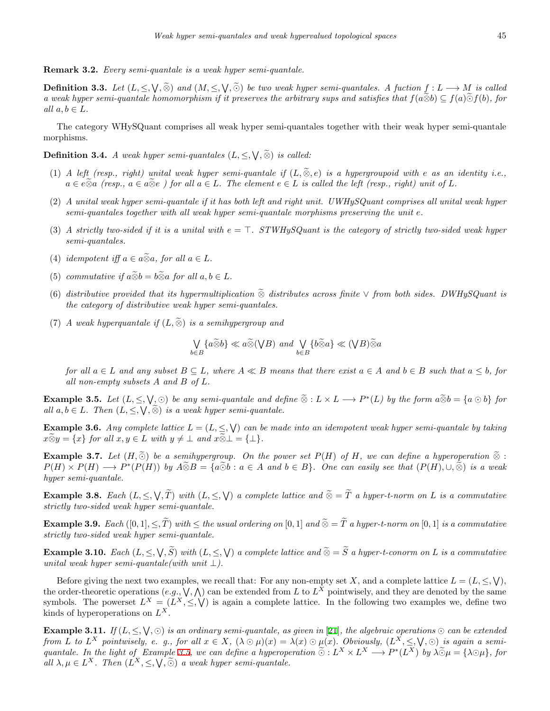**Remark 3.2.** *Every semi-quantale is a weak hyper semi-quantale.*

**Definition 3.3.** Let  $(L, \leq, \vee, \widetilde{\otimes})$  and  $(M, \leq, \vee, \widetilde{\odot})$  be two weak hyper semi-quantales. A fuction  $f: L \longrightarrow M$  is called *a* weak hyper semi-quantale homomorphism if it preserves the arbitrary sups and satisfies that  $f(a\widetilde{\otimes}b) \subseteq f(a)\widetilde{\odot}f(b)$ , for  $all \ a, b \in L.$ 

The category WHySQuant comprises all weak hyper semi-quantales together with their weak hyper semi-quantale morphisms.

**Definition 3.4.** *A weak hyper semi-quantales*  $(L, \leq, \forall, \tilde{\otimes})$  *is called:* 

- (1) *A left (resp., right) unital weak hyper semi-quantale if*  $(L, \tilde{\otimes}, e)$  *is a hypergroupoid with e as an identity i.e.*,  $a \in \widetilde{\epsilon} \widetilde{\otimes} a$  (resp.,  $a \in a \widetilde{\otimes} e$ ) for all  $a \in L$ . The element  $e \in L$  is called the left (resp., right) unit of L.
- (2) *A unital weak hyper semi-quantale if it has both left and right unit. UWHySQuant comprises all unital weak hyper semi-quantales together with all weak hyper semi-quantale morphisms preserving the unit e.*
- (3) *A strictly two-sided if it is a unital with e* = *⊤. STWHySQuant is the category of strictly two-sided weak hyper semi-quantales.*
- (4) *idempotent iff*  $a \in a \widetilde{\otimes} a$ *, for all*  $a \in L$ *.*
- (5) *commutative if*  $a\widetilde{\otimes} b = b\widetilde{\otimes} a$  *for all*  $a, b \in L$ *.*
- (6) *distributive provided that its hypermultiplication ⊗*e *distributes across finite ∨ from both sides. DWHySQuant is the category of distributive weak hyper semi-quantales.*
- (7) *A* weak hyperquantale if  $(L, \widetilde{\otimes})$  is a semihypergroup and

$$
\bigvee_{b\in B}\{a\widetilde{\otimes}b\}\ll a\widetilde{\otimes}(\bigvee B)\ \ and\ \bigvee_{b\in B}\{b\widetilde{\otimes}a\}\ll (\bigvee B)\widetilde{\otimes}a
$$

for all  $a \in L$  and any subset  $B \subseteq L$ , where  $A \ll B$  means that there exist  $a \in A$  and  $b \in B$  such that  $a \leq b$ , for *all non-empty subsets A and B of L.*

<span id="page-2-0"></span>**Example 3.5.** Let  $(L, \leq, \vee, \circ)$  be any semi-quantale and define  $\widetilde{\otimes}: L \times L \longrightarrow P^*(L)$  by the form  $a \widetilde{\otimes} b = \{a \odot b\}$  for *all*  $a, b \in L$ *. Then*  $(L, \leq, \sqrt{\sqrt{2}})$  *is a weak hyper semi-quantale.* 

**Example 3.6.** Any complete lattice  $L = (L, \leq, \vee)$  can be made into an idempotent weak hyper semi-quantale by taking  $x \widetilde{\otimes} y = \{x\}$  *for all*  $x, y \in L$  *with*  $y \neq \bot$  *and*  $x \widetilde{\otimes} \bot = \{\bot\}$ *.* 

**Example 3.7.** *Let*  $(H, \tilde{\odot})$  *be a semihypergroup. On the power set*  $P(H)$  *of*  $H$ *, we can define a hyperoperation*  $\tilde{\otimes}$  :  $P(H) \times P(H) \longrightarrow P^*(P(H))$  by  $A \otimes B = \{a \odot b : a \in A \text{ and } b \in B\}$ . One can easily see that  $(P(H), \cup, \otimes)$  is a weak *hyper semi-quantale.*

**Example 3.8.** Each  $(L, \leq, \sqrt{T})$  with  $(L, \leq, \sqrt{T})$  a complete lattice and  $\widetilde{\otimes} = \widetilde{T}$  a hyper-t-norm on L is a commutative *strictly two-sided weak hyper semi-quantale.*

**Example 3.9.** Each  $([0,1], \leq, \widetilde{T})$  with  $\leq$  the usual ordering on  $[0,1]$  and  $\widetilde{\otimes} = \widetilde{T}$  a hyper-t-norm on  $[0,1]$  is a commutative *strictly two-sided weak hyper semi-quantale.*

**Example 3.10.** Each  $(L, \leq, \vee, \widetilde{S})$  with  $(L, \leq, \vee)$  a complete lattice and  $\widetilde{\otimes} = \widetilde{S}$  a hyper-t-conorm on L is a commutative *unital weak hyper semi-quantale(with unit ⊥).*

Before giving the next two examples, we recall that: For any non-empty set *X*, and a complete lattice  $L = (L, \leq, \vee)$ , the order-theoretic operations  $(e.g., \nabla, \wedge)$  can be extended from *L* to  $L^X$  pointwisely, and they are denoted by the same symbols. The powerset  $L^X = (L^X, \leq, V)$  is again a complete lattice. In the following two examples we, define two kinds of hyperoperations on *L X*.

<span id="page-2-2"></span><span id="page-2-1"></span>**Example 3.11.** *If*  $(L, \leq, \vee, \odot)$  *is an ordinary semi-quantale, as given in* [[21\]](#page-8-6)*, the algebraic operations*  $\odot$  *can be extended* from L to L<sup>X</sup> pointwisely, e. g., for all  $x \in X$ ,  $(\lambda \odot \mu)(x) = \lambda(x) \odot \mu(x)$ . Obviously,  $(L^X, \leq, \forall, \odot)$  is again a semi-quantale. In the light of Example [3.5](#page-2-0), we can define a hyperoperation  $\tilde{\odot}: L^X \times L^X \longrightarrow P^*(L^X)$  by  $\lambda \tilde{\odot} \mu = {\lambda \odot \mu}$ , for *all*  $\lambda, \mu \in L^X$ . Then  $(L^X, \leq, \sqrt{0})$  *a weak hyper semi-quantale.*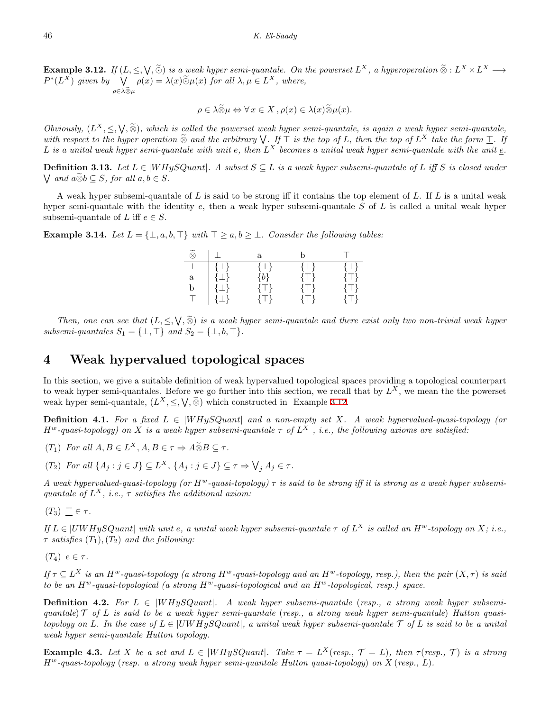**Example 3.12.** If  $(L, \leq, \bigvee, \widetilde{\odot})$  is a weak hyper semi-quantale. On the powerset  $L^X$ , a hyperoperation  $\widetilde{\otimes}: L^X \times L^X \longrightarrow$ *P*<sup>\*</sup>(*L*<sup>X</sup>) *given by* ∨ *ρ∈λ⊗*e*µ*  $\rho(x) = \lambda(x)\tilde{\odot}\mu(x)$  *for all*  $\lambda, \mu \in L^X$ *, where,* 

$$
\rho \in \lambda \widetilde{\otimes} \mu \Leftrightarrow \forall x \in X, \rho(x) \in \lambda(x) \widetilde{\otimes} \mu(x).
$$

*Obviously,*  $(L^X, \leq, \vee, \tilde{\otimes})$ , which is called the powerset weak hyper semi-quantale, is again a weak hyper semi-quantale, *with respect to the hyper operation*  $\widetilde{\otimes}$  *and the arbitrary*  $\bigvee$ *. If*  $\top$  *is the top of L, then the top of*  $L^X$  *take the form*  $\top$ *. If L* is a unital weak hyper semi-quantale with unit  $e$ , then  $L^X$  becomes a unital weak hyper semi-quantale with the unit  $\underline{e}$ .

**Definition 3.13.** *Let*  $L ∈ |WHySQuant|$ *.* A subset  $S ⊆ L$  *is a weak hyper subsemi-quantale of*  $L$  *iff*  $S$  *is closed under*  $\forall$  and  $a\tilde{\otimes}b \subseteq S$ *, for all*  $a, b \in S$ *.* 

A weak hyper subsemi-quantale of *L* is said to be strong iff it contains the top element of *L*. If *L* is a unital weak hyper semi-quantale with the identity *e*, then a weak hyper subsemi-quantale *S* of *L* is called a unital weak hyper subsemi-quantale of *L* iff  $e \in S$ .

**Example 3.14.** *Let*  $L = \{\perp, a, b, \top\}$  *with*  $\top \geq a, b \geq \bot$ *. Consider the following tables:* 

|   |             | a.          |             |             |
|---|-------------|-------------|-------------|-------------|
|   | $\{\perp\}$ | $\{\perp\}$ | $\{\perp\}$ | $\{\perp\}$ |
| a | $\{\perp\}$ | ${b}$       | $\{\top\}$  | $\{\top\}$  |
| b | $\{\bot\}$  | {T}         | {⊤}         | $\{\top\}$  |
|   | $\{\perp\}$ | {⊤}         | {⊤}         | {⊤}         |

*Then, one can see that*  $(L, \leq, \vee, \tilde{\otimes})$  *is a weak hyper semi-quantale and there exist only two non-trivial weak hyper subsemi-quantales*  $S_1 = \{\perp, \top\}$  *and*  $S_2 = \{\perp, b, \top\}.$ 

#### **4 Weak hypervalued topological spaces**

In this section, we give a suitable definition of weak hypervalued topological spaces providing a topological counterpart to weak hyper semi-quantales. Before we go further into this section, we recall that by *L <sup>X</sup>*, we mean the the powerset weak hyper semi-quantale,  $(L^X, \leq, \forall, \tilde{\otimes})$  which constructed in Example [3.12.](#page-2-1)

**Definition 4.1.** For a fixed  $L \in |WHySQuant|$  and a non-empty set X. A weak hypervalued-quasi-topology (or  $H^w$ -quasi-topology) on *X* is a weak hyper subsemi-quantale  $\tau$  of  $L^X$  , i.e., the following axioms are satisfied:

 $(T_1)$  *For all*  $A, B \in L^X, A, B \in \tau \Rightarrow A \widetilde{\otimes} B \subseteq \tau$ .

 $(T_2)$  For all  $\{A_j : j \in J\} \subseteq L^X$ ,  $\{A_j : j \in J\} \subseteq \tau \Rightarrow \bigvee_j A_j \in \tau$ .

*A weak hypervalued-quasi-topology (or H<sup>w</sup>-quasi-topology) τ is said to be strong iff it is strong as a weak hyper subsemiquantale of*  $L^X$ *, i.e.,*  $\tau$  *satisfies the additional axiom:* 

 $(T_3) \perp \in \tau$ .

If  $L \in |UWHySQuant|$  with unit e, a unital weak hyper subsemi-quantale  $\tau$  of  $L^X$  is called an  $H^w$ -topology on X; i.e.,  $\tau$  *satisfies*  $(T_1)$ *,* $(T_2)$  *and the following:* 

 $(T_4)$   $e \in \tau$ .

If  $\tau \subseteq L^X$  is an  $H^w$ -quasi-topology (a strong  $H^w$ -quasi-topology and an  $H^w$ -topology, resp.), then the pair  $(X,\tau)$  is said *to be an H<sup>w</sup>-quasi-topological (a strong H<sup>w</sup>-quasi-topological and an H<sup>w</sup>-topological, resp.) space.*

**Definition 4.2.** For  $L \in |WHySQuant|$ . A weak hyper subsemi-quantale (resp., a strong weak hyper subsemi*quantale*) *T of L is said to be a weak hyper semi-quantale* (*resp., a strong weak hyper semi-quantale*) *Hutton quasitopology on L. In the case of*  $L \in |UWHySQuant|$ , a unital weak hyper subsemi-quantale  $\mathcal T$  *of*  $L$  *is said to be a unital weak hyper semi-quantale Hutton topology.*

**Example 4.3.** Let X be a set and  $L \in |WHySQuant|$ . Take  $\tau = L^X (resp., \mathcal{T} = L)$ , then  $\tau (resp., \mathcal{T})$  is a strong *H<sup>w</sup>-quasi-topology* (*resp. a strong weak hyper semi-quantale Hutton quasi-topology*) *on X* (*resp., L*)*.*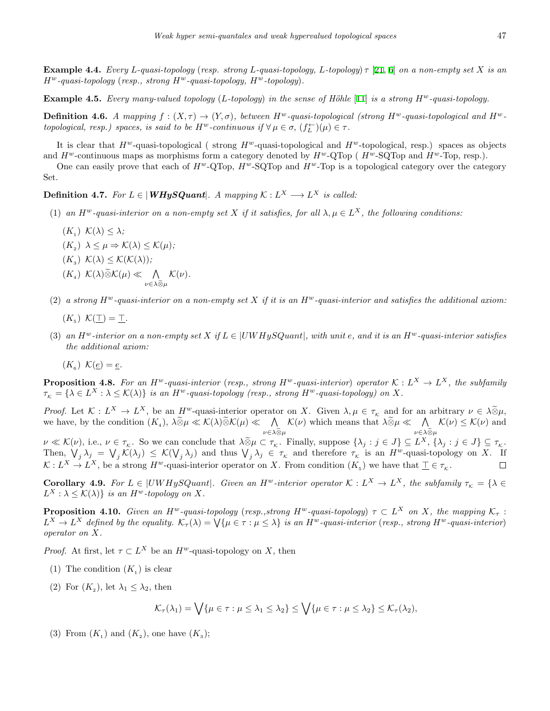**Example 4.4.** *Every L-quasi-topology* (*resp. strong L-quasi-topology, L-topology*) *τ* [\[21](#page-8-6), [6\]](#page-7-0) *on a non-empty set X is an H<sup>w</sup>-quasi-topology* (*resp., strong H<sup>w</sup>-quasi-topology, H<sup>w</sup>-topology*)*.*

**Example 4.5.** *Every many-valued topology* (*L*-topology) *in the sense of Höhle* [[11\]](#page-8-7) *is a strong*  $H^w$ -quasi-topology.

**Definition 4.6.** A mapping  $f:(X,\tau) \to (Y,\sigma)$ , between  $H^w$ -quasi-topological (strong  $H^w$ -quasi-topological and  $H^w$ *topological, resp.) spaces, is said to be*  $H^w$ *-continuous if*  $\forall \mu \in \sigma$ ,  $(f_L^{\leftarrow})(\mu) \in \tau$ .

It is clear that  $H^w$ -quasi-topological ( strong  $H^w$ -quasi-topological and  $H^w$ -topological, resp.) spaces as objects and *H<sup>w</sup>*-continuous maps as morphisms form a category denoted by *H<sup>w</sup>*-QTop ( *H<sup>w</sup>*-SQTop and *H<sup>w</sup>*-Top, resp.).

One can easily prove that each of  $H^w$ -QTop,  $H^w$ -SQTop and  $H^w$ -Top is a topological category over the category Set.

 $\textbf{Definition 4.7.}$  *For*  $L \in |\textbf{WHySQuant}|$ *. A mapping*  $\mathcal{K}: L^X \longrightarrow L^X$  *is called:* 

*K*(*ν*)*.*

- (1) an  $H^w$ -quasi-interior on a non-empty set X if it satisfies, for all  $\lambda, \mu \in L^X$ , the following conditions:
	- $(K_1)$   $K(\lambda) \leq \lambda$ ;  $(K_2)$   $\lambda \leq \mu \Rightarrow \mathcal{K}(\lambda) \leq \mathcal{K}(\mu);$  $(K_3)$   $\mathcal{K}(\lambda) \leq \mathcal{K}(\mathcal{K}(\lambda))$ ;  $(K_4)$   $\mathcal{K}(\lambda) \widetilde{\otimes} \mathcal{K}(\mu) \ll \Lambda$ *ν∈λ⊗*e*µ*
- (2) a strong  $H^w$ -quasi-interior on a non-empty set X if it is an  $H^w$ -quasi-interior and satisfies the additional axiom:

$$
(K_5) \mathcal{K}(\underline{\top}) = \underline{\top}.
$$

- (3) an  $H^w$ -interior on a non-empty set X if  $L \in |UWHySQuant|$ , with unit e, and it is an  $H^w$ -quasi-interior satisfies *the additional axiom:*
	- $(K_6)$   $K(\underline{e}) = \underline{e}.$

**Proposition 4.8.** For an  $H^w$ -quasi-interior (resp., strong  $H^w$ -quasi-interior) operator  $K: L^X \to L^X$ , the subfamily  $\tau_{\kappa} = {\lambda \in L^{X} : \lambda \leq \mathcal{K}(\lambda)}$  is an  $H^{w}$ -quasi-topology (resp., strong  $H^{w}$ -quasi-topology) on X.

*Proof.* Let  $K: L^X \to L^X$ , be an  $H^w$ -quasi-interior operator on X. Given  $\lambda, \mu \in \tau_{\kappa}$  and for an arbitrary  $\nu \in \lambda \widetilde{\otimes} \mu$ , we have, by the condition  $(K_4)$ ,  $\lambda \widetilde{\otimes} \mu \ll \mathcal{K}(\lambda) \widetilde{\otimes} \mathcal{K}(\mu) \ll \Lambda$ *ν∈λ⊗*e*µ K*(*v*) which means that  $\lambda \tilde{\otimes} \mu \ll \Lambda$ *ν∈λ⊗*e*µ*  $\mathcal{K}(\nu) \leq \mathcal{K}(\nu)$  and

 $\nu \ll \mathcal{K}(\nu)$ , i.e.,  $\nu \in \tau_{\kappa}$ . So we can conclude that  $\lambda \widetilde{\otimes} \mu \subset \tau_{\kappa}$ . Finally, suppose  $\{\lambda_j : j \in J\} \subseteq L^X$ ,  $\{\lambda_j : j \in J\} \subseteq \tau_{\kappa}$ . Then,  $\bigvee_j \lambda_j = \bigvee_j \widetilde{\mathcal{K}}(\lambda_j) \leq \mathcal{K}(\bigvee_j \lambda_j)$  and thus  $\bigvee_j \lambda_j \in \tau_{\kappa}$  and therefore  $\tau_{\kappa}$  is an  $H^w$ -quasi-topology on X. If  $K: L^X \to L^X$ , be a strong *H<sup>w</sup>*-quasi-interior operator on *X*. From condition  $(K_5)$  we have that  $\overline{\bot} \in \tau_{\kappa}$ .  $\Box$ 

**Corollary 4.9.** For  $L \in |UWHySQuant|$ . Given an  $H^w$ -interior operator  $K : L^X \to L^X$ , the subfamily  $\tau_K = {\lambda \in \mathbb{R}^n}$  $L^X : \lambda \leq K(\lambda)$ *} is an H*<sup>*w*</sup>*-topology on X.* 

**Proposition 4.10.** Given an  $H^w$ -quasi-topology (resp., strong  $H^w$ -quasi-topology)  $\tau \subset L^X$  on X, the mapping  $\mathcal{K}_{\tau}$ :  $L^X \to L^X$  defined by the equality.  $\mathcal{K}_\tau(\lambda) = \bigvee \{ \mu \in \tau : \mu \leq \lambda \}$  is an  $H^w$ -quasi-interior (resp., strong  $H^w$ -quasi-interior) *operator on X.*

*Proof.* At first, let  $\tau \subset L^X$  be an  $H^w$ -quasi-topology on *X*, then

- (1) The condition  $(K_1)$  is clear
- (2) For  $(K_2)$ , let  $\lambda_1 \leq \lambda_2$ , then

$$
\mathcal{K}_{\tau}(\lambda_1) = \bigvee \{ \mu \in \tau : \mu \leq \lambda_1 \leq \lambda_2 \} \leq \bigvee \{ \mu \in \tau : \mu \leq \lambda_2 \} \leq \mathcal{K}_{\tau}(\lambda_2),
$$

(3) From  $(K_1)$  and  $(K_2)$ , one have  $(K_3)$ ;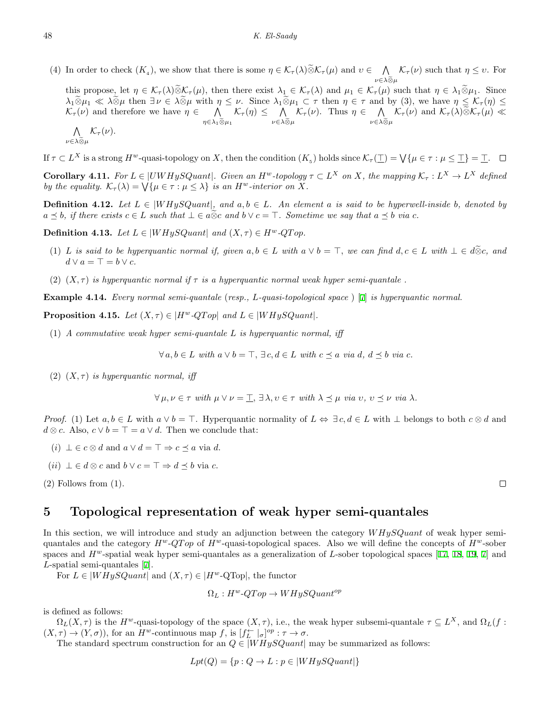(4) In order to check  $(K_4)$ , we show that there is some  $\eta \in \mathcal{K}_{\tau}(\lambda) \widetilde{\otimes} \mathcal{K}_{\tau}(\mu)$  and  $v \in \Lambda_{\sim} \mathcal{K}_{\tau}(\nu)$  such that  $\eta \leq v$ . For *ν∈λ⊗*e*µ* this propose, let  $\eta \in \mathcal{K}_{\tau}(\lambda) \widetilde{\otimes} \mathcal{K}_{\tau}(\mu)$ , then there exist  $\lambda_1 \in \mathcal{K}_{\tau}(\lambda)$  and  $\mu_1 \in \mathcal{K}_{\tau}(\mu)$  such that  $\eta \in \lambda_1 \widetilde{\otimes} \mu_1$ . Since  $\lambda_1\widetilde{\otimes}\mu_1\ll\lambda\widetilde{\otimes}\mu$  then  $\exists \nu\in\lambda\widetilde{\otimes}\mu$  with  $\eta\leq\nu$ . Since  $\lambda_1\widetilde{\otimes}\mu_1\subset\tau$  then  $\eta\in\tau$  and by (3), we have  $\eta\leq\mathcal{K}_\tau(\eta)\leq\eta$  $\mathcal{K}_{\tau}(\nu)$  and therefore we have  $\eta \in \Lambda$  $η ∈ λ_1 ⊗ μ_1$  $K_{\tau}(\eta) \leq \Lambda$ *ν∈λ⊗*e*µ K*<sup>*τ*</sup>(*ν*). Thus *η* ∈ ∧ *ν∈λ⊗*e*µ*  $\mathcal{K}_{\tau}(\nu)$  and  $\mathcal{K}_{\tau}(\lambda) \otimes \mathcal{K}_{\tau}(\mu) \ll$ ∧ *ν∈λ⊗*e*µ*  $\mathcal{K}_{\tau}(\nu).$ 

If  $\tau \subset L^X$  is a strong  $H^w$ -quasi-topology on X, then the condition  $(K_5)$  holds since  $\mathcal{K}_\tau(\bot) = \bigvee \{ \mu \in \tau : \mu \leq \bot \} = \bot$ .

**Corollary 4.11.** For  $L \in |UWHySQuant|$ . Given an  $H^w$ -topology  $\tau \subset L^X$  on X, the mapping  $\mathcal{K}_{\tau}: L^X \to L^X$  defined *by the equality.*  $K_{\tau}(\lambda) = \bigvee \{ \mu \in \tau : \mu \leq \lambda \}$  *is an H<sup>w</sup>-interior on X.* 

**Definition 4.12.** *Let*  $L ∈ |WHySQuant|$ *, and*  $a, b ∈ L$ *. An element a is said to be hyperwell-inside b, denoted by*  $a \preceq b$ , if there exists  $c \in L$  such that  $\bot \in a \tilde{\otimes} c$  and  $b \vee c = \top$ . Sometime we say that  $a \preceq b$  via c.

**Definition 4.13.** *Let*  $L \in |WHySQuant|$  *and*  $(X, \tau) \in H^w$ *-QTop.* 

- (1) L is said to be hyperquantic normal if, given  $a, b \in L$  with  $a \vee b = \top$ , we can find  $d, c \in L$  with  $\bot \in d\widetilde{\otimes}c$ , and *d*  $∨$  *a* =  $⊤$  = *b*  $∨$  *c.*
- (2)  $(X, \tau)$  *is hyperquantic normal if*  $\tau$  *is a hyperquantic normal weak hyper semi-quantale.*

**Example 4.14.** *Every normal semi-quantale* (*resp., L-quasi-topological space* ) [\[7](#page-7-1)] *is hyperquantic normal.*

**Proposition 4.15.** *Let*  $(X, \tau) \in |H^w \text{-} QTop|$  *and*  $L \in |WHySQuant|$ *.* 

(1) *A commutative weak hyper semi-quantale L is hyperquantic normal, iff*

 $\forall a, b \in L$  with  $a \vee b = \top$ ,  $\exists c, d \in L$  with  $c \prec a$  via d,  $d \prec b$  via c.

(2)  $(X, \tau)$  *is hyperquantic normal, iff* 

$$
\forall \mu, \nu \in \tau \text{ with } \mu \vee \nu = \underline{\top}, \exists \lambda, \nu \in \tau \text{ with } \lambda \preceq \mu \text{ via } \nu, \nu \preceq \nu \text{ via } \lambda.
$$

*Proof.* (1) Let  $a, b \in L$  with  $a \vee b = \top$ . Hyperquantic normality of  $L \Leftrightarrow \exists c, d \in L$  with  $\bot$  belongs to both  $c \otimes d$  and *d* ⊗ *c*. Also,  $c \vee b = \top = a \vee d$ . Then we conclude that:

- $(i)$  ⊥ ∈  $c \otimes d$  and  $a \vee d = \top \Rightarrow c \preceq a$  via *d*.
- $(iii) \perp \in d \otimes c$  and  $b \vee c = \top \Rightarrow d \preceq b$  via *c*.

(2) Follows from (1).

#### **5 Topological representation of weak hyper semi-quantales**

In this section, we will introduce and study an adjunction between the category *WHySQuant* of weak hyper semiquantales and the category  $H^w$ -*QT op* of  $H^w$ -quasi-topological spaces. Also we will define the concepts of  $H^w$ -sober spaces and *H<sup>w</sup>*-spatial weak hyper semi-quantales as a generalization of *L*-sober topological spaces [[17,](#page-8-14) [18,](#page-8-15) [19](#page-8-16), [7](#page-7-1)] and *L*-spatial semi-quantales [\[7](#page-7-1)].

For  $L \in |WHySQuant|$  and  $(X, \tau) \in |H^w\text{-}\text{QTop}|$ , the functor

$$
\Omega_L: H^w\text{-}QTop \to WHySQuant^{op}
$$

is defined as follows:

 $\Omega_L(X,\tau)$  is the  $H^w$ -quasi-topology of the space  $(X,\tau)$ , i.e., the weak hyper subsemi-quantale  $\tau \subseteq L^X$ , and  $\Omega_L(f:$  $(X, \tau) \to (Y, \sigma)$ , for an  $H^w$ -continuous map  $f$ , is  $[f_L^{\leftarrow} \mid_{\sigma}]^{op} : \tau \to \sigma$ .

The standard spectrum construction for an  $Q \in |WHySQuant|$  may be summarized as follows:

$$
Lpt(Q) = \{p: Q \to L : p \in |WHySQuant|\}
$$

 $\Box$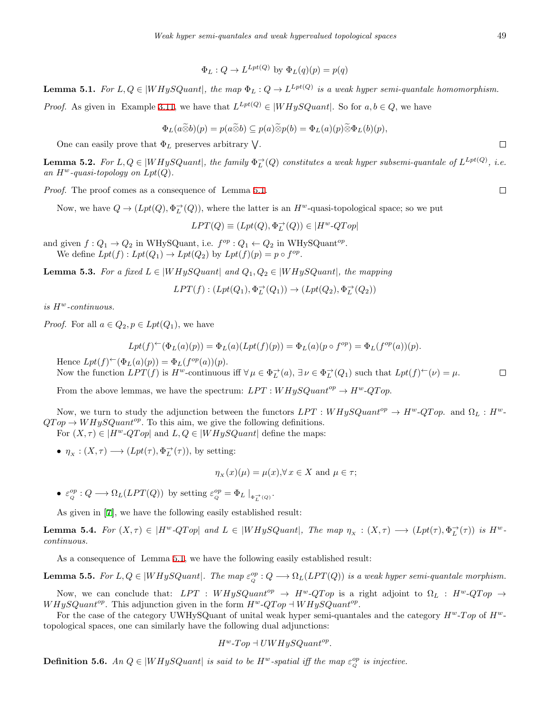$\Phi_L: Q \to L^{Lpt(Q)}$  by  $\Phi_L(q)(p) = p(q)$ 

<span id="page-6-0"></span>**Lemma 5.1.** For  $L, Q \in |WHySQuant|$ , the map  $\Phi_L: Q \to L^{Lpt(Q)}$  is a weak hyper semi-quantale homomorphism. *Proof.* As given in Example [3.11](#page-2-2), we have that  $L^{Lpt(Q)} \in |WHySQuant|$ . So for  $a, b \in Q$ , we have

$$
\Phi_L(a\widetilde{\otimes}b)(p) = p(a\widetilde{\otimes}b) \subseteq p(a)\widetilde{\otimes}p(b) = \Phi_L(a)(p)\widetilde{\otimes}\Phi_L(b)(p),
$$

One can easily prove that  $\Phi_L$  preserves arbitrary  $\bigvee$ .

**Lemma 5.2.** For  $L, Q \in |WHySQuant|$ , the family  $\Phi_L^{\rightarrow}(Q)$  constitutes a weak hyper subsemi-quantale of  $L^{Lpt(Q)}$ , i.e. *an*  $H^w$ -quasi-topology on  $Lpt(Q)$ .

*Proof.* The proof comes as a consequence of Lemma [5.1](#page-6-0).

Now, we have  $Q \to (Lpt(Q), \Phi_L^{\to}(Q))$ , where the latter is an  $H^w$ -quasi-topological space; so we put

$$
LPT(Q)\equiv (Lpt(Q),\Phi_{L}^{\rightarrow}(Q))\in |H^{w}\textrm{-}QTop|
$$

and given  $f: Q_1 \to Q_2$  in WHySQuant, i.e.  $f^{op}: Q_1 \leftarrow Q_2$  in WHySQuant<sup>op</sup>. We define  $Lpt(f): Lpt(Q_1) \to Lpt(Q_2)$  by  $Lpt(f)(p) = p \circ f^{op}$ .

**Lemma 5.3.** *For a fixed L ∈ |WHySQuant| and Q*1*, Q*<sup>2</sup> *∈ |W HySQuant|, the mapping*

 $LPT(f) : (Lpt(Q_1), \Phi_L^{\to}(Q_1)) \to (Lpt(Q_2), \Phi_L^{\to}(Q_2))$ 

*is H<sup>w</sup>-continuous.*

*Proof.* For all  $a \in Q_2, p \in Lpt(Q_1)$ , we have

$$
Lpt(f)^{\leftarrow}(\Phi_L(a)(p)) = \Phi_L(a)(Lpt(f)(p)) = \Phi_L(a)(p \circ f^{op}) = \Phi_L(f^{op}(a))(p).
$$

Hence  $Lpt(f) \leftarrow (\Phi_L(a)(p)) = \Phi_L(f^{op}(a))(p).$ Now the function  $LPT(f)$  is  $H^w$ -continuous iff  $\forall \mu \in \Phi_L^{\rightarrow}(a)$ ,  $\exists \nu \in \Phi_L^{\rightarrow}(Q_1)$  such that  $Lpt(f)^{\leftarrow}(\nu) = \mu$ .  $\Box$ 

From the above lemmas, we have the spectrum:  $LPT : WHySQuant^{op} \rightarrow H^w\text{-}QTop$ .

Now, we turn to study the adjunction between the functors  $LPT : WHySQuant^{op} \to H^w \text{-}QTop$ . and  $\Omega_L : H^w$  $QTop \rightarrow WHySQuant^{op}$ . To this aim, we give the following definitions. For  $(X, \tau) \in |H^w \text{-} QTop|$  and  $L, Q \in |WHySQuant|$  define the maps:

•  $\eta_X : (X, \tau) \longrightarrow (Lpt(\tau), \Phi_L^{\rightarrow}(\tau))$ , by setting:

$$
\eta_X(x)(\mu) = \mu(x), \forall x \in X \text{ and } \mu \in \tau;
$$

•  $\varepsilon_Q^{op}: Q \longrightarrow \Omega_L(LPT(Q))$  by setting  $\varepsilon_Q^{op} = \Phi_L \mid_{\Phi_L^{-1}(Q)}$ .

As given in **[[7](#page-7-1)]**, we have the following easily established result:

**Lemma 5.4.** For  $(X, \tau) \in |H^w \text{-} QTop|$  and  $L \in |WHySQuant|$ , The map  $\eta_X : (X, \tau) \longrightarrow (Lpt(\tau), \Phi_L^{\to}(\tau))$  is  $H^w$ . *continuous.*

As a consequence of Lemma [5.1](#page-6-0), we have the following easily established result:

**Lemma 5.5.** For  $L, Q \in |WHySQuant|$ . The map  $\varepsilon_Q^{op}: Q \longrightarrow \Omega_L(LPT(Q))$  is a weak hyper semi-quantale morphism.

Now, we can conclude that: *LPT* :  $WHySQuant^{op} \rightarrow H^w\text{-}QTop$  is a right adjoint to  $\Omega_L$  :  $H^w\text{-}QTop \rightarrow$ *WHySQuant<sup>op</sup>*. This adjunction given in the form  $H^w$ -*QT op ⊣WHySQuant<sup>op</sup>*.

For the case of the category UWHySQuant of unital weak hyper semi-quantales and the category *H<sup>w</sup>*-*T op* of *H<sup>w</sup>*topological spaces, one can similarly have the following dual adjunctions:

 $H^w$ - $Top$  *⊣*  $UWHySQuant^{op}$ .

**Definition 5.6.** *An*  $Q \in |WHySQuant|$  *is said to be*  $H^w$ -spatial iff the map  $\varepsilon_Q^{op}$  *is injective.* 

 $\Box$ 

 $\Box$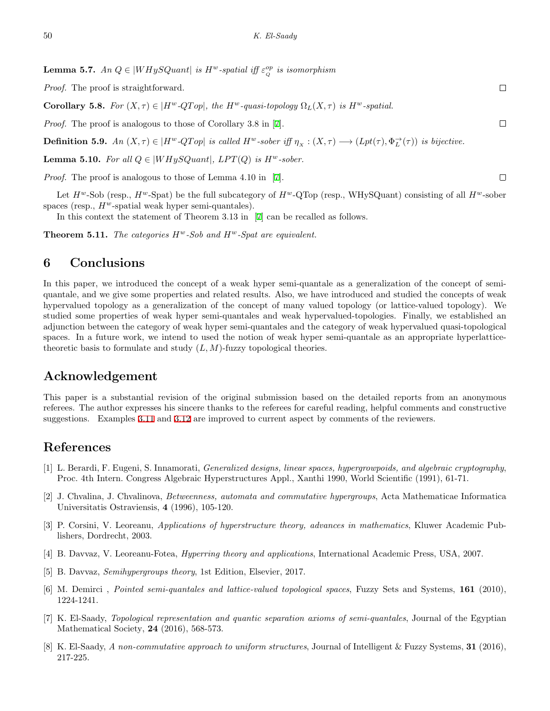**Lemma 5.7.** *An*  $Q \in |WHySQuant|$  *is*  $H^w$ -spatial iff  $\varepsilon_Q^{op}$  is isomorphism

*Proof.* The proof is straightforward.

**Corollary 5.8.** *For*  $(X, \tau) \in |H^w \text{-} QTop|$ , the  $H^w \text{-}quasi-topology$   $\Omega_L(X, \tau)$  is  $H^w \text{-}spatial$ .

*Proof.* The proof is analogous to those of Corollary 3.8 in [[7](#page-7-1)].

**Definition 5.9.** An  $(X, \tau) \in |H^w \text{-} QTop|$  is called  $H^w$ -sober iff  $\eta_X : (X, \tau) \longrightarrow (Lpt(\tau), \Phi_L^{\rightarrow}(\tau))$  is bijective.

**Lemma 5.10.** *For all*  $Q \in |WHySQuant|$ *, LPT*(*Q*) *is*  $H^w$ -sober.

*Proof.* The proof is analogous to those of Lemma 4.10 in [[7\]](#page-7-1).

Let  $H^w$ -Sob (resp.,  $H^w$ -Spat) be the full subcategory of  $H^w$ -QTop (resp., WHySQuant) consisting of all  $H^w$ -sober spaces (resp.,  $H^w$ -spatial weak hyper semi-quantales).

In this context the statement of Theorem 3.13 in [[7](#page-7-1)] can be recalled as follows.

**Theorem 5.11.** *The categories H<sup>w</sup>-Sob and H<sup>w</sup>-Spat are equivalent.*

#### **6 Conclusions**

In this paper, we introduced the concept of a weak hyper semi-quantale as a generalization of the concept of semiquantale, and we give some properties and related results. Also, we have introduced and studied the concepts of weak hypervalued topology as a generalization of the concept of many valued topology (or lattice-valued topology). We studied some properties of weak hyper semi-quantales and weak hypervalued-topologies. Finally, we established an adjunction between the category of weak hyper semi-quantales and the category of weak hypervalued quasi-topological spaces. In a future work, we intend to used the notion of weak hyper semi-quantale as an appropriate hyperlatticetheoretic basis to formulate and study  $(L, M)$ -fuzzy topological theories.

### **Acknowledgement**

This paper is a substantial revision of the original submission based on the detailed reports from an anonymous referees. The author expresses his sincere thanks to the referees for careful reading, helpful comments and constructive suggestions. Examples [3.11](#page-2-2) and [3.12](#page-2-1) are improved to current aspect by comments of the reviewers.

### **References**

- <span id="page-7-3"></span>[1] L. Berardi, F. Eugeni, S. Innamorati, *Generalized designs, linear spaces, hypergrowpoids, and algebraic cryptography*, Proc. 4th Intern. Congress Algebraic Hyperstructures Appl., Xanthi 1990, World Scientific (1991), 61-71.
- <span id="page-7-4"></span>[2] J. Chvalina, J. Chvalinova, *Betweenness, automata and commutative hypergroups*, Acta Mathematicae Informatica Universitatis Ostraviensis, **4** (1996), 105-120.
- <span id="page-7-5"></span>[3] P. Corsini, V. Leoreanu, *Applications of hyperstructure theory, advances in mathematics*, Kluwer Academic Publishers, Dordrecht, 2003.
- <span id="page-7-6"></span>[4] B. Davvaz, V. Leoreanu-Fotea, *Hyperring theory and applications*, International Academic Press, USA, 2007.
- <span id="page-7-7"></span>[5] B. Davvaz, *Semihypergroups theory*, 1st Edition, Elsevier, 2017.
- <span id="page-7-0"></span>[6] M. Demirci , *Pointed semi-quantales and lattice-valued topological spaces*, Fuzzy Sets and Systems, **161** (2010), 1224-1241.
- <span id="page-7-1"></span>[7] K. El-Saady, *Topological representation and quantic separation axioms of semi-quantales*, Journal of the Egyptian Mathematical Society, **24** (2016), 568-573.
- <span id="page-7-2"></span>[8] K. El-Saady, *A non-commutative approach to uniform structures*, Journal of Intelligent & Fuzzy Systems, **31** (2016), 217-225.

 $\Box$ 

 $\Box$ 

 $\Box$